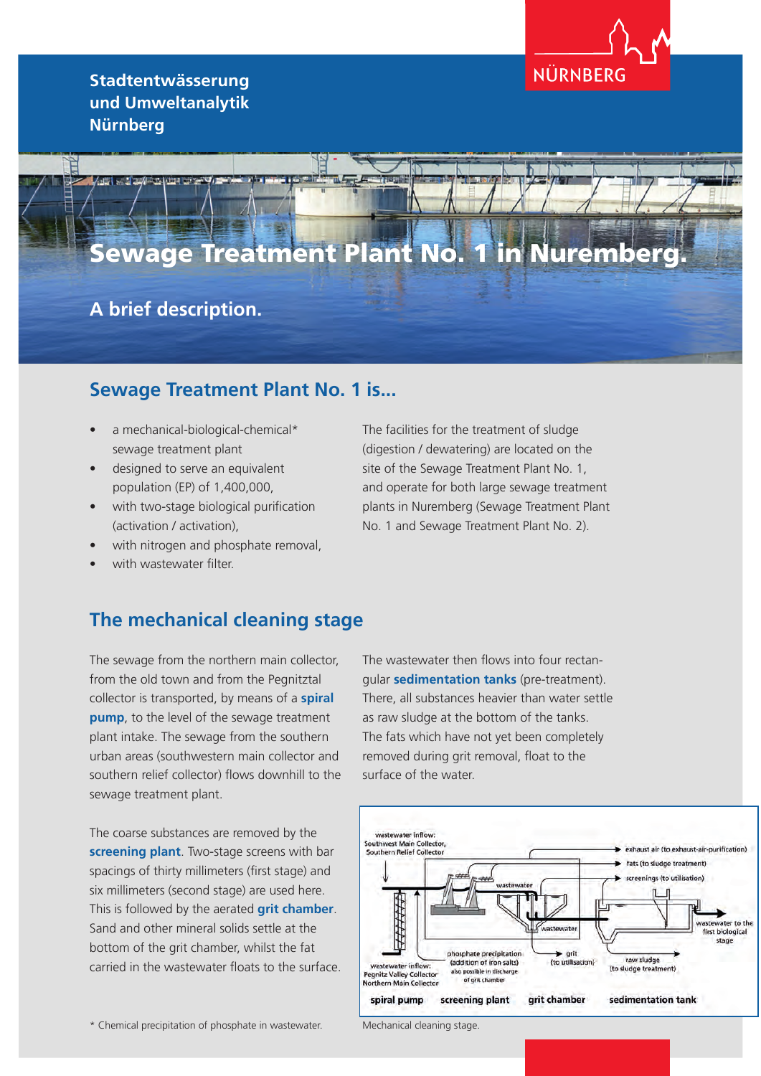**Stadtentwässerung und Umweltanalytik Nürnberg**



# Sewage Treatment Plant No. 1 in Nuremberg.

# **A brief description.**

#### **Sewage Treatment Plant No. 1 is...**

- a mechanical-biological-chemical\* sewage treatment plant
- designed to serve an equivalent population (EP) of 1,400,000,
- with two-stage biological purification (activation / activation),
- with nitrogen and phosphate removal,
- with wastewater filter.

The facilities for the treatment of sludge (digestion / dewatering) are located on the site of the Sewage Treatment Plant No. 1, and operate for both large sewage treatment plants in Nuremberg (Sewage Treatment Plant No. 1 and Sewage Treatment Plant No. 2).

#### **The mechanical cleaning stage**

The sewage from the northern main collector, from the old town and from the Pegnitztal collector is transported, by means of a **spiral pump**, to the level of the sewage treatment plant intake. The sewage from the southern urban areas (southwestern main collector and southern relief collector) flows downhill to the sewage treatment plant.

The coarse substances are removed by the **screening plant**. Two-stage screens with bar spacings of thirty millimeters (first stage) and six millimeters (second stage) are used here. This is followed by the aerated **grit chamber**. Sand and other mineral solids settle at the bottom of the grit chamber, whilst the fat carried in the wastewater floats to the surface. The wastewater then flows into four rectangular **sedimentation tanks** (pre-treatment). There, all substances heavier than water settle as raw sludge at the bottom of the tanks. The fats which have not yet been completely removed during grit removal, float to the surface of the water.



\* Chemical precipitation of phosphate in wastewater.

Mechanical cleaning stage.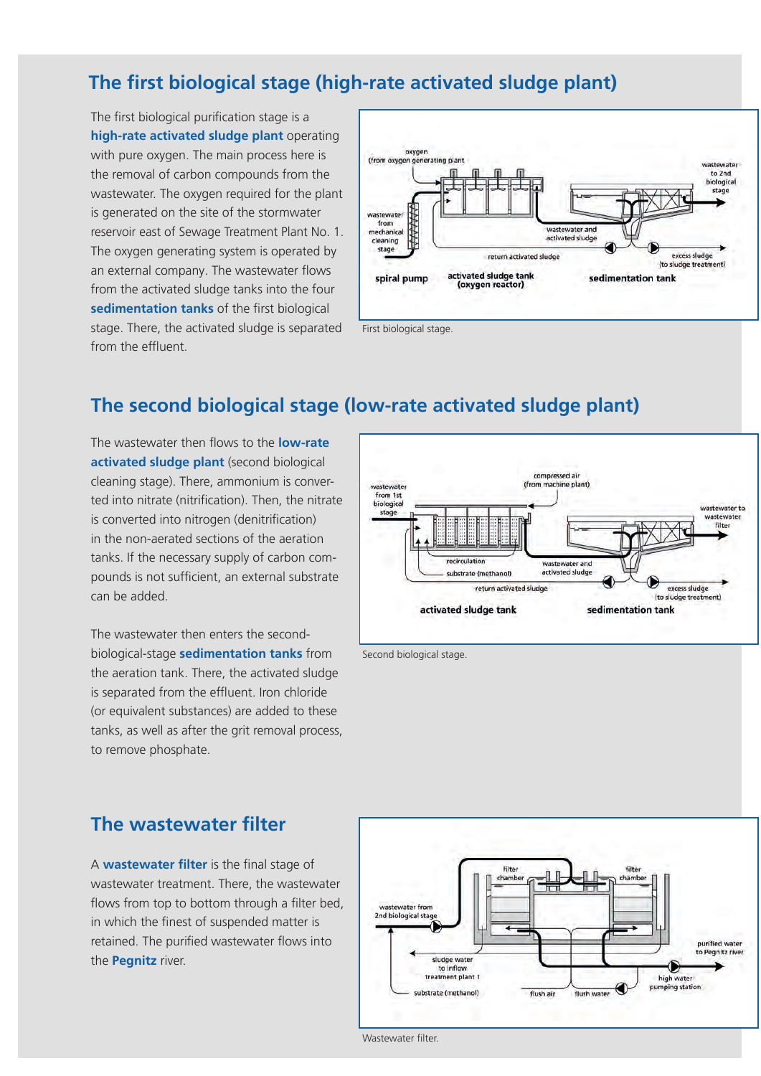# **The first biological stage (high-rate activated sludge plant)**

The first biological purification stage is a **high-rate activated sludge plant** operating with pure oxygen. The main process here is the removal of carbon compounds from the wastewater. The oxygen required for the plant is generated on the site of the stormwater reservoir east of Sewage Treatment Plant No. 1. The oxygen generating system is operated by an external company. The wastewater flows from the activated sludge tanks into the four **sedimentation tanks** of the first biological stage. There, the activated sludge is separated from the effluent.



# **The second biological stage (low-rate activated sludge plant)**

The wastewater then flows to the **low-rate activated sludge plant** (second biological cleaning stage). There, ammonium is converted into nitrate (nitrification). Then, the nitrate is converted into nitrogen (denitrification) in the non-aerated sections of the aeration tanks. If the necessary supply of carbon compounds is not sufficient, an external substrate can be added.

The wastewater then enters the secondbiological-stage **sedimentation tanks** from the aeration tank. There, the activated sludge is separated from the effluent. Iron chloride (or equivalent substances) are added to these tanks, as well as after the grit removal process, to remove phosphate.



Second biological stage.

#### **The wastewater filter**

A **wastewater filter** is the final stage of wastewater treatment. There, the wastewater flows from top to bottom through a filter bed, in which the finest of suspended matter is retained. The purified wastewater flows into the **Pegnitz** river.



Wastewater filter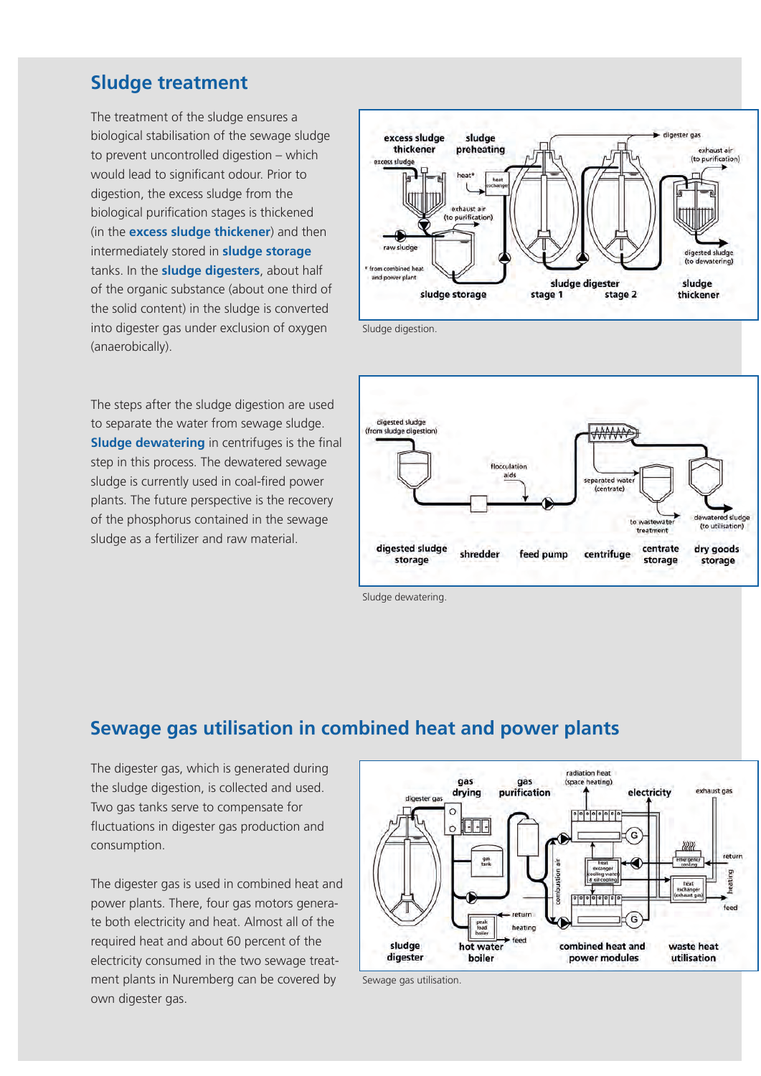#### **Sludge treatment**

The treatment of the sludge ensures a biological stabilisation of the sewage sludge to prevent uncontrolled digestion – which would lead to significant odour. Prior to digestion, the excess sludge from the biological purification stages is thickened (in the **excess sludge thickener**) and then intermediately stored in **sludge storage** tanks. In the **sludge digesters**, about half of the organic substance (about one third of the solid content) in the sludge is converted into digester gas under exclusion of oxygen (anaerobically).

The steps after the sludge digestion are used to separate the water from sewage sludge. **Sludge dewatering** in centrifuges is the final step in this process. The dewatered sewage sludge is currently used in coal-fired power plants. The future perspective is the recovery of the phosphorus contained in the sewage sludge as a fertilizer and raw material.



Sludge digestion.



Sludge dewatering.

### **Sewage gas utilisation in combined heat and power plants**

The digester gas, which is generated during the sludge digestion, is collected and used. Two gas tanks serve to compensate for fluctuations in digester gas production and consumption.

The digester gas is used in combined heat and power plants. There, four gas motors generate both electricity and heat. Almost all of the required heat and about 60 percent of the electricity consumed in the two sewage treatment plants in Nuremberg can be covered by own digester gas.



Sewage gas utilisation.